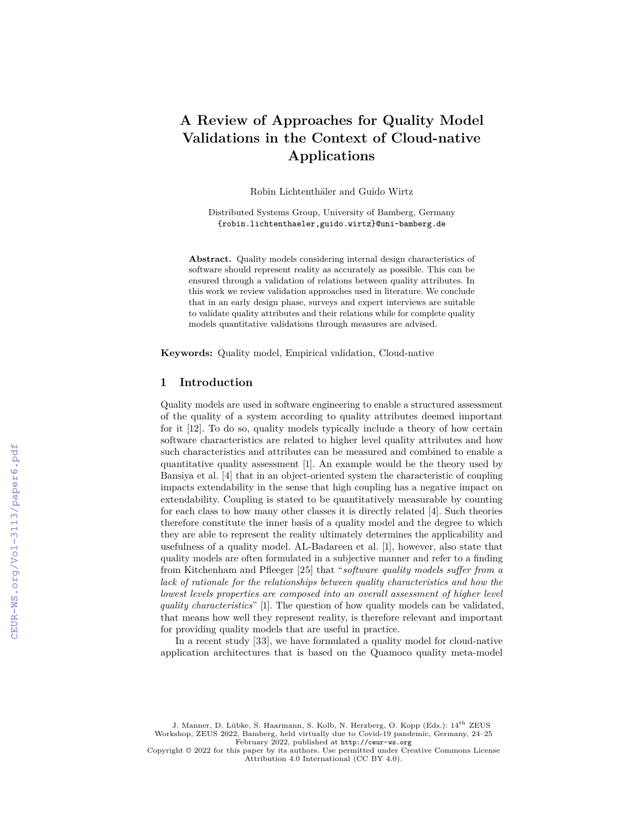# **A Review of Approaches for Quality Model Validations in the Context of Cloud-native Applications**

Robin Lichtenthäler and Guido Wirtz

Distributed Systems Group, University of Bamberg, Germany {robin.lichtenthaeler,guido.wirtz}@uni-bamberg.de

**Abstract.** Quality models considering internal design characteristics of software should represent reality as accurately as possible. This can be ensured through a validation of relations between quality attributes. In this work we review validation approaches used in literature. We conclude that in an early design phase, surveys and expert interviews are suitable to validate quality attributes and their relations while for complete quality models quantitative validations through measures are advised.

**Keywords:** Quality model, Empirical validation, Cloud-native

### **1 Introduction**

Quality models are used in software engineering to enable a structured assessment of the quality of a system according to quality attributes deemed important for it [12]. To do so, quality models typically include a theory of how certain software characteristics are related to higher level quality attributes and how such characteristics and attributes can be measured and combined to enable a quantitative quality assessment [1]. An example would be the theory used by Bansiya et al. [4] that in an object-oriented system the characteristic of coupling impacts extendability in the sense that high coupling has a negative impact on extendability. Coupling is stated to be quantitatively measurable by counting for each class to how many other classes it is directly related [4]. Such theories therefore constitute the inner basis of a quality model and the degree to which they are able to represent the reality ultimately determines the applicability and usefulness of a quality model. AL-Badareen et al. [1], however, also state that quality models are often formulated in a subjective manner and refer to a finding from Kitchenham and Pfleeger [25] that "*software quality models suffer from a lack of rationale for the relationships between quality characteristics and how the lowest levels properties are composed into an overall assessment of higher level quality characteristics*" [1]. The question of how quality models can be validated, that means how well they represent reality, is therefore relevant and important for providing quality models that are useful in practice.

In a recent study [33], we have formulated a quality model for cloud-native application architectures that is based on the Quamoco quality meta-model

J. Manner, D. Lübke, S. Haarmann, S. Kolb, N. Herzberg, O. Kopp (Eds.):  $14^{\rm th}$  ZEUS Workshop, ZEUS 2022, Bamberg, held virtually due to Covid-19 pandemic, Germany, 24–25 February 2022, published at <http://ceur-ws.org>

Copyright © 2022 for this paper by its authors. Use permitted under Creative Commons License Attribution 4.0 International (CC BY 4.0).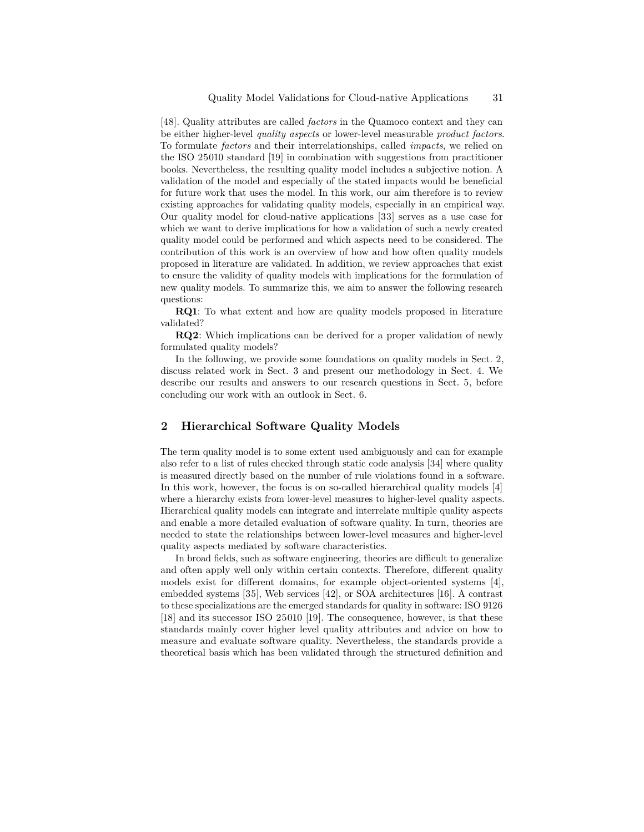[48]. Quality attributes are called *factors* in the Quamoco context and they can be either higher-level *quality aspects* or lower-level measurable *product factors*. To formulate *factors* and their interrelationships, called *impacts*, we relied on the ISO 25010 standard [19] in combination with suggestions from practitioner books. Nevertheless, the resulting quality model includes a subjective notion. A validation of the model and especially of the stated impacts would be beneficial for future work that uses the model. In this work, our aim therefore is to review existing approaches for validating quality models, especially in an empirical way. Our quality model for cloud-native applications [33] serves as a use case for which we want to derive implications for how a validation of such a newly created quality model could be performed and which aspects need to be considered. The contribution of this work is an overview of how and how often quality models proposed in literature are validated. In addition, we review approaches that exist to ensure the validity of quality models with implications for the formulation of new quality models. To summarize this, we aim to answer the following research questions:

**RQ1**: To what extent and how are quality models proposed in literature validated?

**RQ2**: Which implications can be derived for a proper validation of newly formulated quality models?

In the following, we provide some foundations on quality models in Sect. 2, discuss related work in Sect. 3 and present our methodology in Sect. 4. We describe our results and answers to our research questions in Sect. 5, before concluding our work with an outlook in Sect. 6.

# **2 Hierarchical Software Quality Models**

The term quality model is to some extent used ambiguously and can for example also refer to a list of rules checked through static code analysis [34] where quality is measured directly based on the number of rule violations found in a software. In this work, however, the focus is on so-called hierarchical quality models [4] where a hierarchy exists from lower-level measures to higher-level quality aspects. Hierarchical quality models can integrate and interrelate multiple quality aspects and enable a more detailed evaluation of software quality. In turn, theories are needed to state the relationships between lower-level measures and higher-level quality aspects mediated by software characteristics.

In broad fields, such as software engineering, theories are difficult to generalize and often apply well only within certain contexts. Therefore, different quality models exist for different domains, for example object-oriented systems [4], embedded systems [35], Web services [42], or SOA architectures [16]. A contrast to these specializations are the emerged standards for quality in software: ISO 9126 [18] and its successor ISO 25010 [19]. The consequence, however, is that these standards mainly cover higher level quality attributes and advice on how to measure and evaluate software quality. Nevertheless, the standards provide a theoretical basis which has been validated through the structured definition and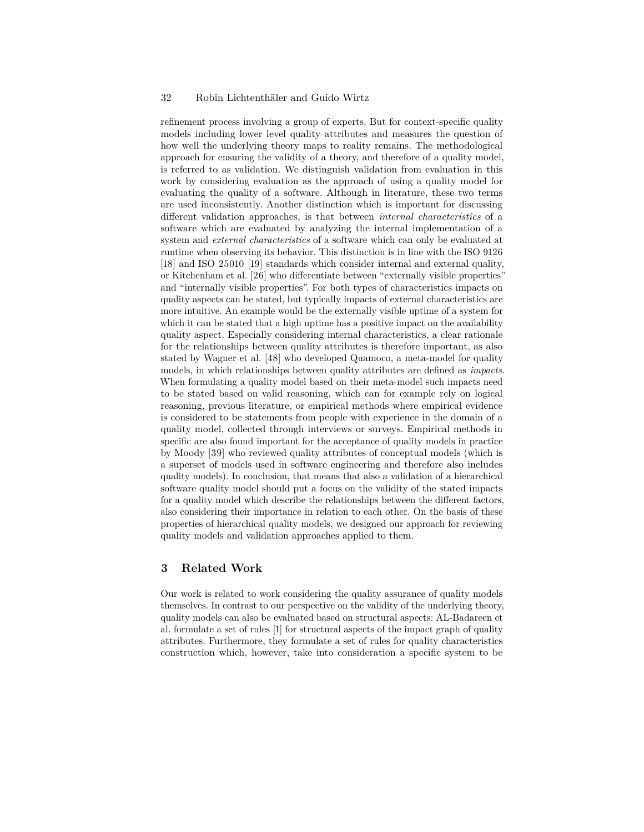refinement process involving a group of experts. But for context-specific quality models including lower level quality attributes and measures the question of how well the underlying theory maps to reality remains. The methodological approach for ensuring the validity of a theory, and therefore of a quality model, is referred to as validation. We distinguish validation from evaluation in this work by considering evaluation as the approach of using a quality model for evaluating the quality of a software. Although in literature, these two terms are used inconsistently. Another distinction which is important for discussing different validation approaches, is that between *internal characteristics* of a software which are evaluated by analyzing the internal implementation of a system and *external characteristics* of a software which can only be evaluated at runtime when observing its behavior. This distinction is in line with the ISO 9126 [18] and ISO 25010 [19] standards which consider internal and external quality, or Kitchenham et al. [26] who differentiate between "externally visible properties" and "internally visible properties". For both types of characteristics impacts on quality aspects can be stated, but typically impacts of external characteristics are more intuitive. An example would be the externally visible uptime of a system for which it can be stated that a high uptime has a positive impact on the availability quality aspect. Especially considering internal characteristics, a clear rationale for the relationships between quality attributes is therefore important, as also stated by Wagner et al. [48] who developed Quamoco, a meta-model for quality models, in which relationships between quality attributes are defined as *impacts*. When formulating a quality model based on their meta-model such impacts need to be stated based on valid reasoning, which can for example rely on logical reasoning, previous literature, or empirical methods where empirical evidence is considered to be statements from people with experience in the domain of a quality model, collected through interviews or surveys. Empirical methods in specific are also found important for the acceptance of quality models in practice by Moody [39] who reviewed quality attributes of conceptual models (which is a superset of models used in software engineering and therefore also includes quality models). In conclusion, that means that also a validation of a hierarchical software quality model should put a focus on the validity of the stated impacts for a quality model which describe the relationships between the different factors, also considering their importance in relation to each other. On the basis of these properties of hierarchical quality models, we designed our approach for reviewing quality models and validation approaches applied to them.

## **3 Related Work**

Our work is related to work considering the quality assurance of quality models themselves. In contrast to our perspective on the validity of the underlying theory, quality models can also be evaluated based on structural aspects: AL-Badareen et al. formulate a set of rules [1] for structural aspects of the impact graph of quality attributes. Furthermore, they formulate a set of rules for quality characteristics construction which, however, take into consideration a specific system to be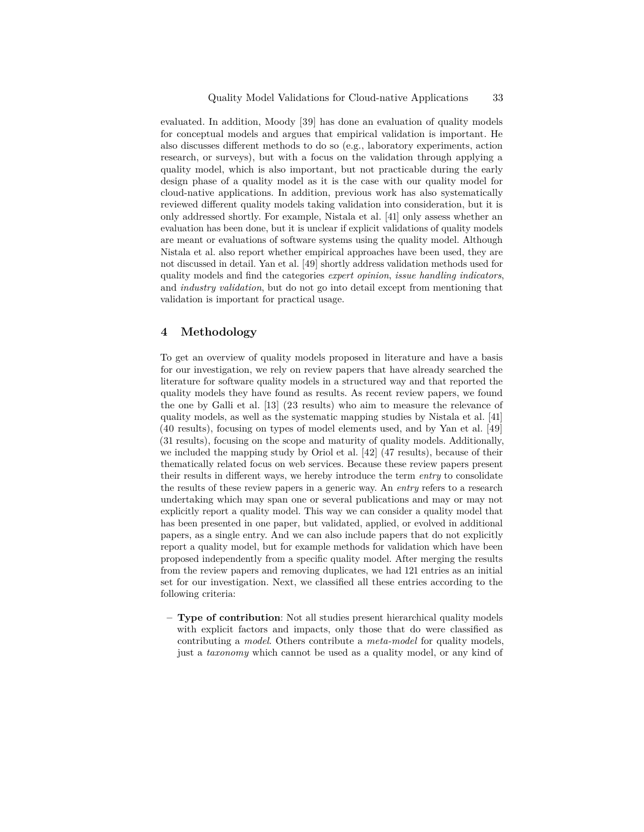evaluated. In addition, Moody [39] has done an evaluation of quality models for conceptual models and argues that empirical validation is important. He also discusses different methods to do so (e.g., laboratory experiments, action research, or surveys), but with a focus on the validation through applying a quality model, which is also important, but not practicable during the early design phase of a quality model as it is the case with our quality model for cloud-native applications. In addition, previous work has also systematically reviewed different quality models taking validation into consideration, but it is only addressed shortly. For example, Nistala et al. [41] only assess whether an evaluation has been done, but it is unclear if explicit validations of quality models are meant or evaluations of software systems using the quality model. Although Nistala et al. also report whether empirical approaches have been used, they are not discussed in detail. Yan et al. [49] shortly address validation methods used for quality models and find the categories *expert opinion*, *issue handling indicators*, and *industry validation*, but do not go into detail except from mentioning that validation is important for practical usage.

## **4 Methodology**

To get an overview of quality models proposed in literature and have a basis for our investigation, we rely on review papers that have already searched the literature for software quality models in a structured way and that reported the quality models they have found as results. As recent review papers, we found the one by Galli et al. [13] (23 results) who aim to measure the relevance of quality models, as well as the systematic mapping studies by Nistala et al. [41] (40 results), focusing on types of model elements used, and by Yan et al. [49] (31 results), focusing on the scope and maturity of quality models. Additionally, we included the mapping study by Oriol et al. [42] (47 results), because of their thematically related focus on web services. Because these review papers present their results in different ways, we hereby introduce the term *entry* to consolidate the results of these review papers in a generic way. An *entry* refers to a research undertaking which may span one or several publications and may or may not explicitly report a quality model. This way we can consider a quality model that has been presented in one paper, but validated, applied, or evolved in additional papers, as a single entry. And we can also include papers that do not explicitly report a quality model, but for example methods for validation which have been proposed independently from a specific quality model. After merging the results from the review papers and removing duplicates, we had 121 entries as an initial set for our investigation. Next, we classified all these entries according to the following criteria:

**– Type of contribution**: Not all studies present hierarchical quality models with explicit factors and impacts, only those that do were classified as contributing a *model*. Others contribute a *meta-model* for quality models, just a *taxonomy* which cannot be used as a quality model, or any kind of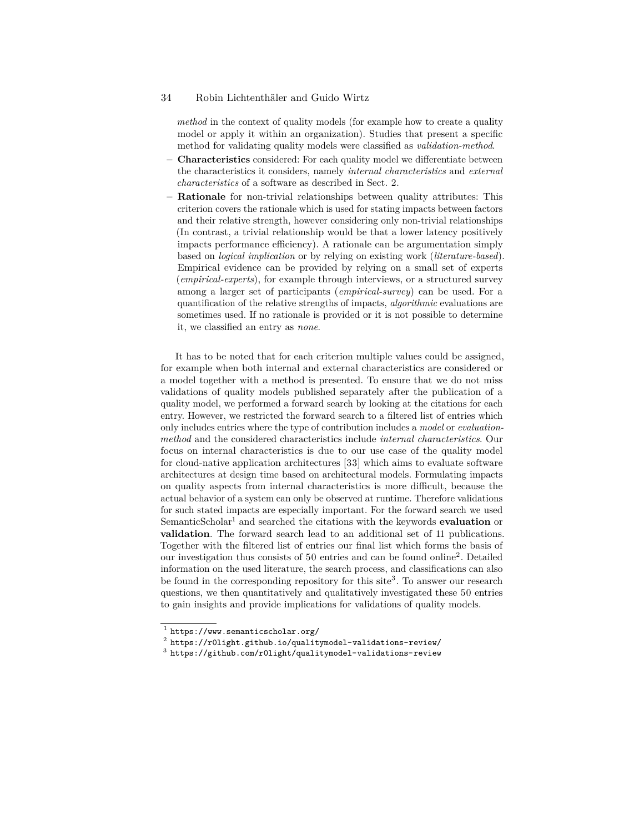*method* in the context of quality models (for example how to create a quality model or apply it within an organization). Studies that present a specific method for validating quality models were classified as *validation-method*.

- **– Characteristics** considered: For each quality model we differentiate between the characteristics it considers, namely *internal characteristics* and *external characteristics* of a software as described in Sect. 2.
- **– Rationale** for non-trivial relationships between quality attributes: This criterion covers the rationale which is used for stating impacts between factors and their relative strength, however considering only non-trivial relationships (In contrast, a trivial relationship would be that a lower latency positively impacts performance efficiency). A rationale can be argumentation simply based on *logical implication* or by relying on existing work (*literature-based*). Empirical evidence can be provided by relying on a small set of experts (*empirical-experts*), for example through interviews, or a structured survey among a larger set of participants (*empirical-survey*) can be used. For a quantification of the relative strengths of impacts, *algorithmic* evaluations are sometimes used. If no rationale is provided or it is not possible to determine it, we classified an entry as *none*.

It has to be noted that for each criterion multiple values could be assigned, for example when both internal and external characteristics are considered or a model together with a method is presented. To ensure that we do not miss validations of quality models published separately after the publication of a quality model, we performed a forward search by looking at the citations for each entry. However, we restricted the forward search to a filtered list of entries which only includes entries where the type of contribution includes a *model* or *evaluationmethod* and the considered characteristics include *internal characteristics*. Our focus on internal characteristics is due to our use case of the quality model for cloud-native application architectures [33] which aims to evaluate software architectures at design time based on architectural models. Formulating impacts on quality aspects from internal characteristics is more difficult, because the actual behavior of a system can only be observed at runtime. Therefore validations for such stated impacts are especially important. For the forward search we used SemanticScholar1 and searched the citations with the keywords **evaluation** or **validation**. The forward search lead to an additional set of 11 publications. Together with the filtered list of entries our final list which forms the basis of our investigation thus consists of 50 entries and can be found online2 . Detailed information on the used literature, the search process, and classifications can also be found in the corresponding repository for this site<sup>3</sup>. To answer our research questions, we then quantitatively and qualitatively investigated these 50 entries to gain insights and provide implications for validations of quality models.

 $^1$  <https://www.semanticscholar.org/>

 $^2$  <https://r0light.github.io/qualitymodel-validations-review/>

 $^3$  <https://github.com/r0light/qualitymodel-validations-review>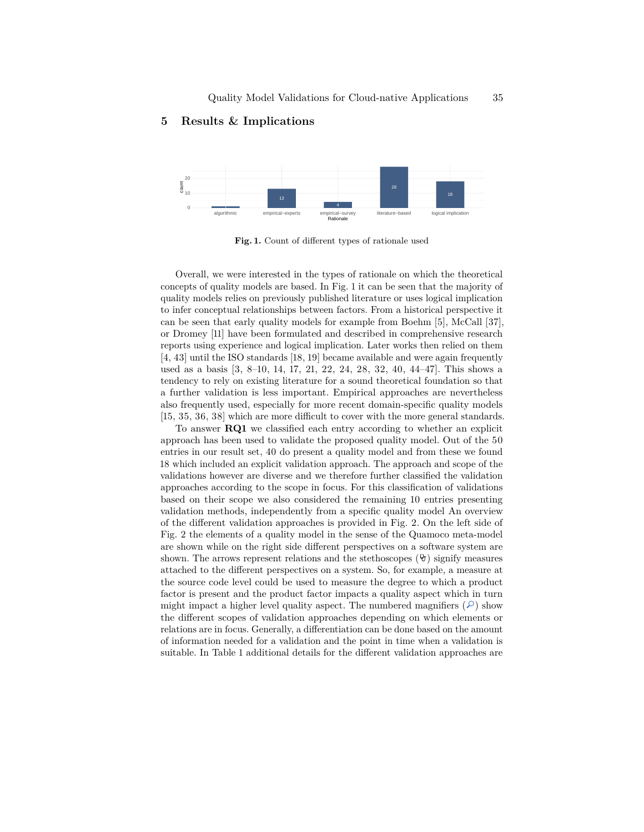# **5 Results & Implications**



**Fig. 1.** Count of different types of rationale used

Overall, we were interested in the types of rationale on which the theoretical concepts of quality models are based. In Fig. 1 it can be seen that the majority of quality models relies on previously published literature or uses logical implication to infer conceptual relationships between factors. From a historical perspective it can be seen that early quality models for example from Boehm [5], McCall [37], or Dromey [11] have been formulated and described in comprehensive research reports using experience and logical implication. Later works then relied on them [4, 43] until the ISO standards [18, 19] became available and were again frequently used as a basis [3, 8–10, 14, 17, 21, 22, 24, 28, 32, 40, 44–47]. This shows a tendency to rely on existing literature for a sound theoretical foundation so that a further validation is less important. Empirical approaches are nevertheless also frequently used, especially for more recent domain-specific quality models [15, 35, 36, 38] which are more difficult to cover with the more general standards.

To answer **RQ1** we classified each entry according to whether an explicit approach has been used to validate the proposed quality model. Out of the 50 entries in our result set, 40 do present a quality model and from these we found 18 which included an explicit validation approach. The approach and scope of the validations however are diverse and we therefore further classified the validation approaches according to the scope in focus. For this classification of validations based on their scope we also considered the remaining 10 entries presenting validation methods, independently from a specific quality model An overview of the different validation approaches is provided in Fig. 2. On the left side of Fig. 2 the elements of a quality model in the sense of the Quamoco meta-model are shown while on the right side different perspectives on a software system are shown. The arrows represent relations and the stethoscopes  $(\vartheta)$  signify measures attached to the different perspectives on a system. So, for example, a measure at the source code level could be used to measure the degree to which a product factor is present and the product factor impacts a quality aspect which in turn might impact a higher level quality aspect. The numbered magnifiers  $(0)$  show the different scopes of validation approaches depending on which elements or relations are in focus. Generally, a differentiation can be done based on the amount of information needed for a validation and the point in time when a validation is suitable. In Table 1 additional details for the different validation approaches are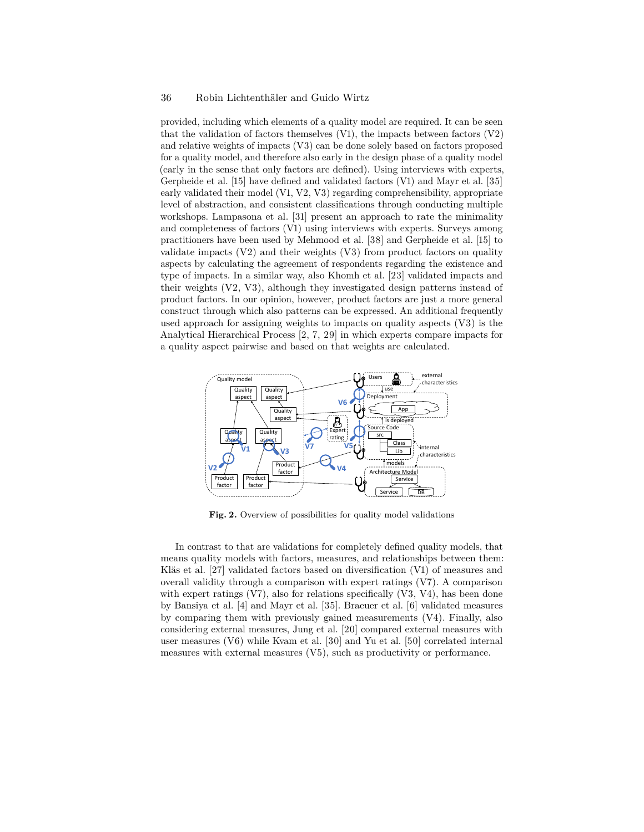provided, including which elements of a quality model are required. It can be seen that the validation of factors themselves  $(V1)$ , the impacts between factors  $(V2)$ and relative weights of impacts (V3) can be done solely based on factors proposed for a quality model, and therefore also early in the design phase of a quality model (early in the sense that only factors are defined). Using interviews with experts, Gerpheide et al. [15] have defined and validated factors (V1) and Mayr et al. [35] early validated their model (V1, V2, V3) regarding comprehensibility, appropriate level of abstraction, and consistent classifications through conducting multiple workshops. Lampasona et al. [31] present an approach to rate the minimality and completeness of factors (V1) using interviews with experts. Surveys among practitioners have been used by Mehmood et al. [38] and Gerpheide et al. [15] to validate impacts  $(V2)$  and their weights  $(V3)$  from product factors on quality aspects by calculating the agreement of respondents regarding the existence and type of impacts. In a similar way, also Khomh et al. [23] validated impacts and their weights (V2, V3), although they investigated design patterns instead of product factors. In our opinion, however, product factors are just a more general construct through which also patterns can be expressed. An additional frequently used approach for assigning weights to impacts on quality aspects (V3) is the Analytical Hierarchical Process [2, 7, 29] in which experts compare impacts for a quality aspect pairwise and based on that weights are calculated.



**Fig. 2.** Overview of possibilities for quality model validations

In contrast to that are validations for completely defined quality models, that means quality models with factors, measures, and relationships between them: Kläs et al. [27] validated factors based on diversification (V1) of measures and overall validity through a comparison with expert ratings (V7). A comparison with expert ratings  $(V7)$ , also for relations specifically  $(V3, V4)$ , has been done by Bansiya et al. [4] and Mayr et al. [35]. Braeuer et al. [6] validated measures by comparing them with previously gained measurements (V4). Finally, also considering external measures, Jung et al. [20] compared external measures with user measures (V6) while Kvam et al. [30] and Yu et al. [50] correlated internal measures with external measures (V5), such as productivity or performance.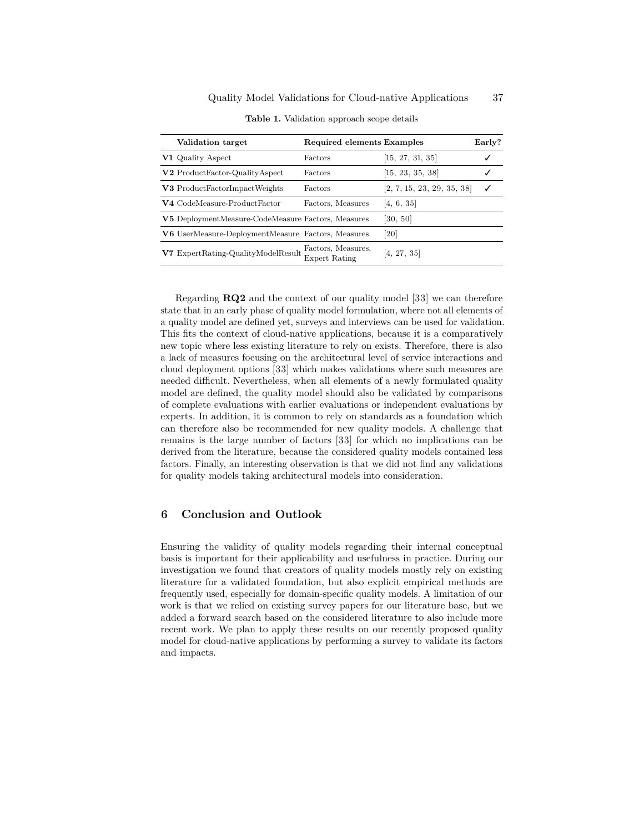| Validation target                                  | Required elements Examples                 |                            | Early? |
|----------------------------------------------------|--------------------------------------------|----------------------------|--------|
| V1 Quality Aspect                                  | Factors                                    | [15, 27, 31, 35]           |        |
| V2 ProductFactor-QualityAspect                     | Factors                                    | [15, 23, 35, 38]           |        |
| V3 ProductFactorImpactWeights                      | Factors                                    | [2, 7, 15, 23, 29, 35, 38] |        |
| V4 CodeMeasure-ProductFactor                       | Factors, Measures                          | [4, 6, 35]                 |        |
| V5 DeploymentMeasure-CodeMeasure Factors, Measures |                                            | [30, 50]                   |        |
| V6 UserMeasure-DeploymentMeasure Factors, Measures |                                            | $\left[20\right]$          |        |
| V7 ExpertRating-QualityModelResult                 | Factors, Measures,<br><b>Expert Rating</b> | [4, 27, 35]                |        |

**Table 1.** Validation approach scope details

Regarding **RQ2** and the context of our quality model [33] we can therefore state that in an early phase of quality model formulation, where not all elements of a quality model are defined yet, surveys and interviews can be used for validation. This fits the context of cloud-native applications, because it is a comparatively new topic where less existing literature to rely on exists. Therefore, there is also a lack of measures focusing on the architectural level of service interactions and cloud deployment options [33] which makes validations where such measures are needed difficult. Nevertheless, when all elements of a newly formulated quality model are defined, the quality model should also be validated by comparisons of complete evaluations with earlier evaluations or independent evaluations by experts. In addition, it is common to rely on standards as a foundation which can therefore also be recommended for new quality models. A challenge that remains is the large number of factors [33] for which no implications can be derived from the literature, because the considered quality models contained less factors. Finally, an interesting observation is that we did not find any validations for quality models taking architectural models into consideration.

# **6 Conclusion and Outlook**

Ensuring the validity of quality models regarding their internal conceptual basis is important for their applicability and usefulness in practice. During our investigation we found that creators of quality models mostly rely on existing literature for a validated foundation, but also explicit empirical methods are frequently used, especially for domain-specific quality models. A limitation of our work is that we relied on existing survey papers for our literature base, but we added a forward search based on the considered literature to also include more recent work. We plan to apply these results on our recently proposed quality model for cloud-native applications by performing a survey to validate its factors and impacts.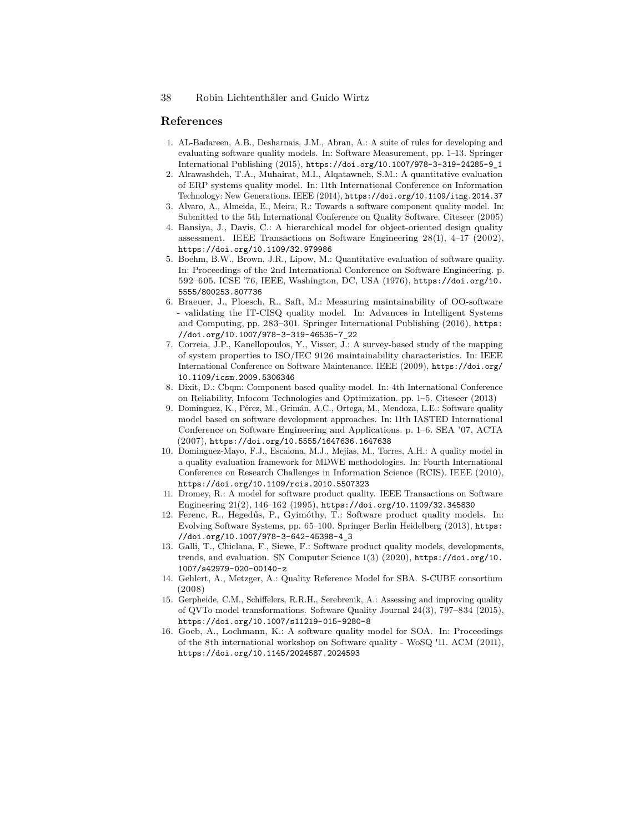#### **References**

- 1. AL-Badareen, A.B., Desharnais, J.M., Abran, A.: A suite of rules for developing and evaluating software quality models. In: Software Measurement, pp. 1–13. Springer International Publishing (2015), [https://doi.org/10.1007/978-3-319-24285-9\\_1](https://doi.org/10.1007/978-3-319-24285-9_1)
- 2. Alrawashdeh, T.A., Muhairat, M.I., Alqatawneh, S.M.: A quantitative evaluation of ERP systems quality model. In: 11th International Conference on Information Technology: New Generations. IEEE (2014), <https://doi.org/10.1109/itng.2014.37>
- 3. Alvaro, A., Almeida, E., Meira, R.: Towards a software component quality model. In: Submitted to the 5th International Conference on Quality Software. Citeseer (2005)
- 4. Bansiya, J., Davis, C.: A hierarchical model for object-oriented design quality assessment. IEEE Transactions on Software Engineering 28(1), 4–17 (2002), <https://doi.org/10.1109/32.979986>
- 5. Boehm, B.W., Brown, J.R., Lipow, M.: Quantitative evaluation of software quality. In: Proceedings of the 2nd International Conference on Software Engineering. p. 592–605. ICSE '76, IEEE, Washington, DC, USA (1976), [https://doi.org/10.](https://doi.org/10.5555/800253.807736) [5555/800253.807736](https://doi.org/10.5555/800253.807736)
- 6. Braeuer, J., Ploesch, R., Saft, M.: Measuring maintainability of OO-software - validating the IT-CISQ quality model. In: Advances in Intelligent Systems and Computing, pp. 283–301. Springer International Publishing (2016), [https:](https://doi.org/10.1007/978-3-319-46535-7_22) [//doi.org/10.1007/978-3-319-46535-7\\_22](https://doi.org/10.1007/978-3-319-46535-7_22)
- 7. Correia, J.P., Kanellopoulos, Y., Visser, J.: A survey-based study of the mapping of system properties to ISO/IEC 9126 maintainability characteristics. In: IEEE International Conference on Software Maintenance. IEEE (2009), [https://doi.org/](https://doi.org/10.1109/icsm.2009.5306346) [10.1109/icsm.2009.5306346](https://doi.org/10.1109/icsm.2009.5306346)
- 8. Dixit, D.: Cbqm: Component based quality model. In: 4th International Conference on Reliability, Infocom Technologies and Optimization. pp. 1–5. Citeseer (2013)
- 9. Domínguez, K., Pérez, M., Grimán, A.C., Ortega, M., Mendoza, L.E.: Software quality model based on software development approaches. In: 11th IASTED International Conference on Software Engineering and Applications. p. 1–6. SEA '07, ACTA (2007), <https://doi.org/10.5555/1647636.1647638>
- 10. Dominguez-Mayo, F.J., Escalona, M.J., Mejias, M., Torres, A.H.: A quality model in a quality evaluation framework for MDWE methodologies. In: Fourth International Conference on Research Challenges in Information Science (RCIS). IEEE (2010), <https://doi.org/10.1109/rcis.2010.5507323>
- 11. Dromey, R.: A model for software product quality. IEEE Transactions on Software Engineering 21(2), 146–162 (1995), <https://doi.org/10.1109/32.345830>
- 12. Ferenc, R., Hegedűs, P., Gyimóthy, T.: Software product quality models. In: Evolving Software Systems, pp. 65–100. Springer Berlin Heidelberg (2013), [https:](https://doi.org/10.1007/978-3-642-45398-4_3) [//doi.org/10.1007/978-3-642-45398-4\\_3](https://doi.org/10.1007/978-3-642-45398-4_3)
- 13. Galli, T., Chiclana, F., Siewe, F.: Software product quality models, developments, trends, and evaluation. SN Computer Science 1(3) (2020), [https://doi.org/10.](https://doi.org/10.1007/s42979-020-00140-z) [1007/s42979-020-00140-z](https://doi.org/10.1007/s42979-020-00140-z)
- 14. Gehlert, A., Metzger, A.: Quality Reference Model for SBA. S-CUBE consortium (2008)
- 15. Gerpheide, C.M., Schiffelers, R.R.H., Serebrenik, A.: Assessing and improving quality of QVTo model transformations. Software Quality Journal 24(3), 797–834 (2015), <https://doi.org/10.1007/s11219-015-9280-8>
- 16. Goeb, A., Lochmann, K.: A software quality model for SOA. In: Proceedings of the 8th international workshop on Software quality - WoSQ '11. ACM (2011), <https://doi.org/10.1145/2024587.2024593>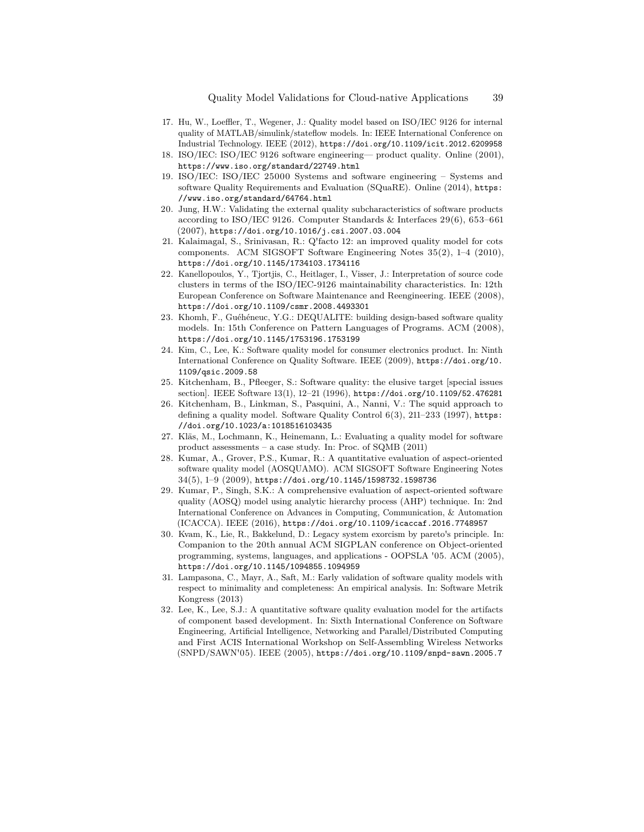- 17. Hu, W., Loeffler, T., Wegener, J.: Quality model based on ISO/IEC 9126 for internal quality of MATLAB/simulink/stateflow models. In: IEEE International Conference on Industrial Technology. IEEE (2012), <https://doi.org/10.1109/icit.2012.6209958>
- 18. ISO/IEC: ISO/IEC 9126 software engineering— product quality. Online (2001), <https://www.iso.org/standard/22749.html>
- 19. ISO/IEC: ISO/IEC 25000 Systems and software engineering Systems and software Quality Requirements and Evaluation (SQuaRE). Online (2014), [https:](https://www.iso.org/standard/64764.html) [//www.iso.org/standard/64764.html](https://www.iso.org/standard/64764.html)
- 20. Jung, H.W.: Validating the external quality subcharacteristics of software products according to ISO/IEC 9126. Computer Standards & Interfaces 29(6), 653–661 (2007), <https://doi.org/10.1016/j.csi.2007.03.004>
- 21. Kalaimagal, S., Srinivasan, R.: Q'facto 12: an improved quality model for cots components. ACM SIGSOFT Software Engineering Notes 35(2), 1–4 (2010), <https://doi.org/10.1145/1734103.1734116>
- 22. Kanellopoulos, Y., Tjortjis, C., Heitlager, I., Visser, J.: Interpretation of source code clusters in terms of the ISO/IEC-9126 maintainability characteristics. In: 12th European Conference on Software Maintenance and Reengineering. IEEE (2008), <https://doi.org/10.1109/csmr.2008.4493301>
- 23. Khomh, F., Guéhéneuc, Y.G.: DEQUALITE: building design-based software quality models. In: 15th Conference on Pattern Languages of Programs. ACM (2008), <https://doi.org/10.1145/1753196.1753199>
- 24. Kim, C., Lee, K.: Software quality model for consumer electronics product. In: Ninth International Conference on Quality Software. IEEE (2009), [https://doi.org/10.](https://doi.org/10.1109/qsic.2009.58) [1109/qsic.2009.58](https://doi.org/10.1109/qsic.2009.58)
- 25. Kitchenham, B., Pfleeger, S.: Software quality: the elusive target [special issues section]. IEEE Software 13(1), 12–21 (1996), <https://doi.org/10.1109/52.476281>
- 26. Kitchenham, B., Linkman, S., Pasquini, A., Nanni, V.: The squid approach to defining a quality model. Software Quality Control 6(3), 211–233 (1997), [https:](https://doi.org/10.1023/a:1018516103435) [//doi.org/10.1023/a:1018516103435](https://doi.org/10.1023/a:1018516103435)
- 27. Kläs, M., Lochmann, K., Heinemann, L.: Evaluating a quality model for software product assessments – a case study. In: Proc. of SQMB (2011)
- 28. Kumar, A., Grover, P.S., Kumar, R.: A quantitative evaluation of aspect-oriented software quality model (AOSQUAMO). ACM SIGSOFT Software Engineering Notes 34(5), 1–9 (2009), <https://doi.org/10.1145/1598732.1598736>
- 29. Kumar, P., Singh, S.K.: A comprehensive evaluation of aspect-oriented software quality (AOSQ) model using analytic hierarchy process (AHP) technique. In: 2nd International Conference on Advances in Computing, Communication, & Automation (ICACCA). IEEE (2016), <https://doi.org/10.1109/icaccaf.2016.7748957>
- 30. Kvam, K., Lie, R., Bakkelund, D.: Legacy system exorcism by pareto's principle. In: Companion to the 20th annual ACM SIGPLAN conference on Object-oriented programming, systems, languages, and applications - OOPSLA '05. ACM (2005), <https://doi.org/10.1145/1094855.1094959>
- 31. Lampasona, C., Mayr, A., Saft, M.: Early validation of software quality models with respect to minimality and completeness: An empirical analysis. In: Software Metrik Kongress (2013)
- 32. Lee, K., Lee, S.J.: A quantitative software quality evaluation model for the artifacts of component based development. In: Sixth International Conference on Software Engineering, Artificial Intelligence, Networking and Parallel/Distributed Computing and First ACIS International Workshop on Self-Assembling Wireless Networks (SNPD/SAWN'05). IEEE (2005), <https://doi.org/10.1109/snpd-sawn.2005.7>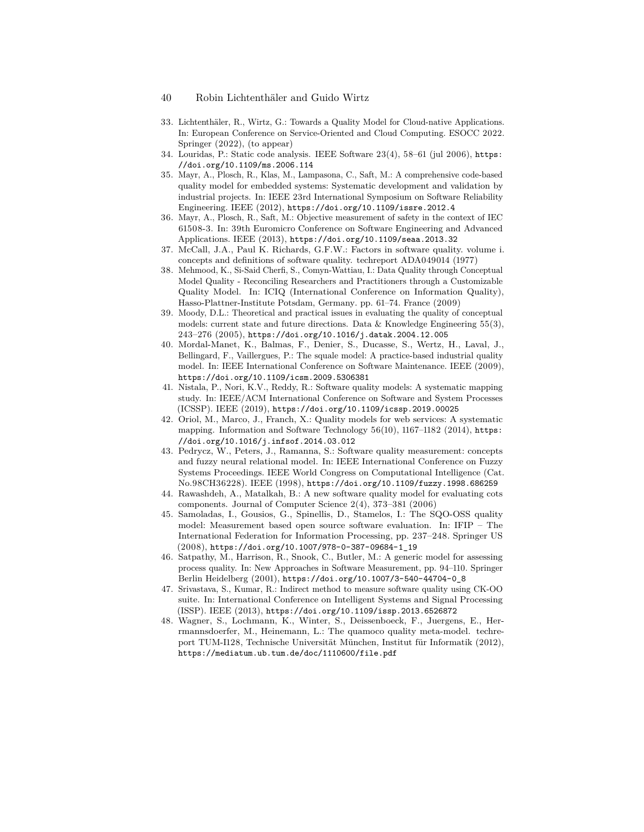- 33. Lichtenthäler, R., Wirtz, G.: Towards a Quality Model for Cloud-native Applications. In: European Conference on Service-Oriented and Cloud Computing. ESOCC 2022. Springer (2022), (to appear)
- 34. Louridas, P.: Static code analysis. IEEE Software 23(4), 58–61 (jul 2006), [https:](https://doi.org/10.1109/ms.2006.114) [//doi.org/10.1109/ms.2006.114](https://doi.org/10.1109/ms.2006.114)
- 35. Mayr, A., Plosch, R., Klas, M., Lampasona, C., Saft, M.: A comprehensive code-based quality model for embedded systems: Systematic development and validation by industrial projects. In: IEEE 23rd International Symposium on Software Reliability Engineering. IEEE (2012), <https://doi.org/10.1109/issre.2012.4>
- 36. Mayr, A., Plosch, R., Saft, M.: Objective measurement of safety in the context of IEC 61508-3. In: 39th Euromicro Conference on Software Engineering and Advanced Applications. IEEE (2013), <https://doi.org/10.1109/seaa.2013.32>
- 37. McCall, J.A., Paul K. Richards, G.F.W.: Factors in software quality. volume i. concepts and definitions of software quality. techreport ADA049014 (1977)
- 38. Mehmood, K., Si-Said Cherfi, S., Comyn-Wattiau, I.: Data Quality through Conceptual Model Quality - Reconciling Researchers and Practitioners through a Customizable Quality Model. In: ICIQ (International Conference on Information Quality), Hasso-Plattner-Institute Potsdam, Germany. pp. 61–74. France (2009)
- 39. Moody, D.L.: Theoretical and practical issues in evaluating the quality of conceptual models: current state and future directions. Data  $&$  Knowledge Engineering 55(3), 243–276 (2005), <https://doi.org/10.1016/j.datak.2004.12.005>
- 40. Mordal-Manet, K., Balmas, F., Denier, S., Ducasse, S., Wertz, H., Laval, J., Bellingard, F., Vaillergues, P.: The squale model: A practice-based industrial quality model. In: IEEE International Conference on Software Maintenance. IEEE (2009), <https://doi.org/10.1109/icsm.2009.5306381>
- 41. Nistala, P., Nori, K.V., Reddy, R.: Software quality models: A systematic mapping study. In: IEEE/ACM International Conference on Software and System Processes (ICSSP). IEEE (2019), <https://doi.org/10.1109/icssp.2019.00025>
- 42. Oriol, M., Marco, J., Franch, X.: Quality models for web services: A systematic mapping. Information and Software Technology 56(10), 1167–1182 (2014), [https:](https://doi.org/10.1016/j.infsof.2014.03.012) [//doi.org/10.1016/j.infsof.2014.03.012](https://doi.org/10.1016/j.infsof.2014.03.012)
- 43. Pedrycz, W., Peters, J., Ramanna, S.: Software quality measurement: concepts and fuzzy neural relational model. In: IEEE International Conference on Fuzzy Systems Proceedings. IEEE World Congress on Computational Intelligence (Cat. No.98CH36228). IEEE (1998), <https://doi.org/10.1109/fuzzy.1998.686259>
- 44. Rawashdeh, A., Matalkah, B.: A new software quality model for evaluating cots components. Journal of Computer Science 2(4), 373–381 (2006)
- 45. Samoladas, I., Gousios, G., Spinellis, D., Stamelos, I.: The SQO-OSS quality model: Measurement based open source software evaluation. In: IFIP – The International Federation for Information Processing, pp. 237–248. Springer US (2008), [https://doi.org/10.1007/978-0-387-09684-1\\_19](https://doi.org/10.1007/978-0-387-09684-1_19)
- 46. Satpathy, M., Harrison, R., Snook, C., Butler, M.: A generic model for assessing process quality. In: New Approaches in Software Measurement, pp. 94–110. Springer Berlin Heidelberg (2001), [https://doi.org/10.1007/3-540-44704-0\\_8](https://doi.org/10.1007/3-540-44704-0_8)
- 47. Srivastava, S., Kumar, R.: Indirect method to measure software quality using CK-OO suite. In: International Conference on Intelligent Systems and Signal Processing (ISSP). IEEE (2013), <https://doi.org/10.1109/issp.2013.6526872>
- 48. Wagner, S., Lochmann, K., Winter, S., Deissenboeck, F., Juergens, E., Herrmannsdoerfer, M., Heinemann, L.: The quamoco quality meta-model. techreport TUM-I128, Technische Universität München, Institut für Informatik (2012), <https://mediatum.ub.tum.de/doc/1110600/file.pdf>